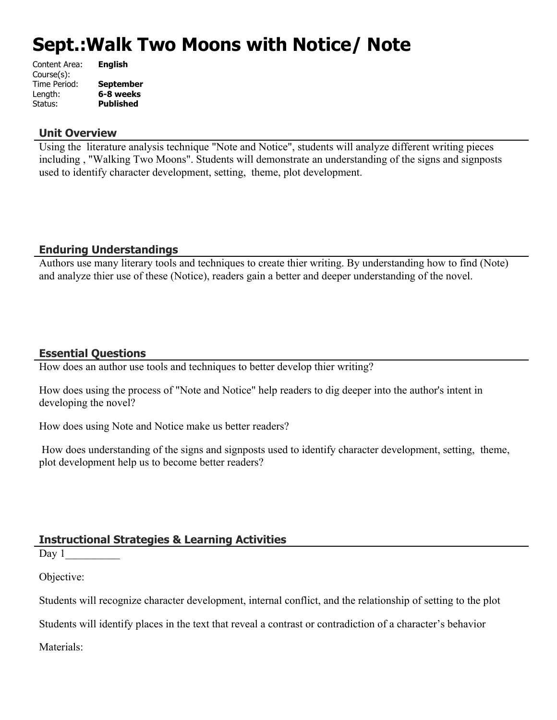# **Sept.:Walk Two Moons with Notice/ Note**

| Content Area: | <b>English</b>   |
|---------------|------------------|
| Course(s):    |                  |
| Time Period:  | <b>September</b> |
| Length:       | 6-8 weeks        |
| Status:       | <b>Published</b> |
|               |                  |

#### **Unit Overview**

Using the literature analysis technique "Note and Notice", students will analyze different writing pieces including , "Walking Two Moons". Students will demonstrate an understanding of the signs and signposts used to identify character development, setting, theme, plot development.

# **Enduring Understandings**

Authors use many literary tools and techniques to create thier writing. By understanding how to find (Note) and analyze thier use of these (Notice), readers gain a better and deeper understanding of the novel.

### **Essential Questions**

How does an author use tools and techniques to better develop thier writing?

How does using the process of "Note and Notice" help readers to dig deeper into the author's intent in developing the novel?

How does using Note and Notice make us better readers?

 How does understanding of the signs and signposts used to identify character development, setting, theme, plot development help us to become better readers?

# **Instructional Strategies & Learning Activities**

Day  $1$ 

Objective:

Students will recognize character development, internal conflict, and the relationship of setting to the plot

Students will identify places in the text that reveal a contrast or contradiction of a character's behavior

Materials: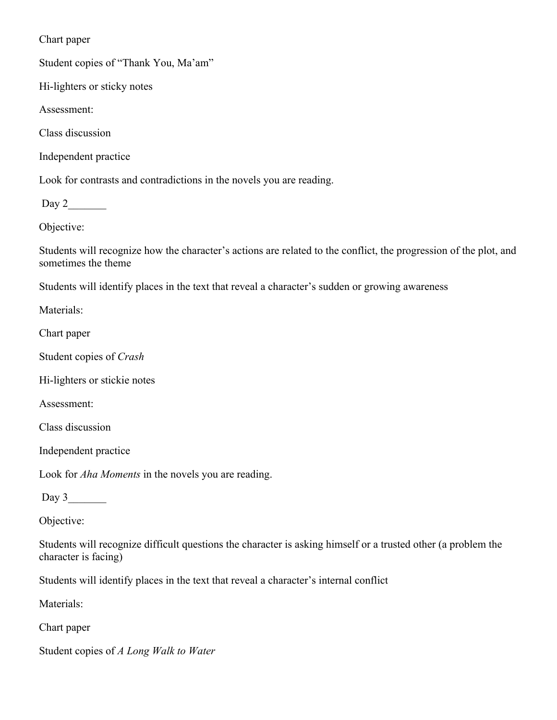Chart paper

Student copies of "Thank You, Ma'am"

Hi-lighters or sticky notes

Assessment:

Class discussion

Independent practice

Look for contrasts and contradictions in the novels you are reading.

Day 2\_\_\_\_\_\_\_

Objective:

Students will recognize how the character's actions are related to the conflict, the progression of the plot, and sometimes the theme

Students will identify places in the text that reveal a character's sudden or growing awareness

Materials:

Chart paper

Student copies of *Crash*

Hi-lighters or stickie notes

Assessment:

Class discussion

Independent practice

Look for *Aha Moments* in the novels you are reading.

Day  $3$ 

Objective:

Students will recognize difficult questions the character is asking himself or a trusted other (a problem the character is facing)

Students will identify places in the text that reveal a character's internal conflict

Materials:

Chart paper

Student copies of *A Long Walk to Water*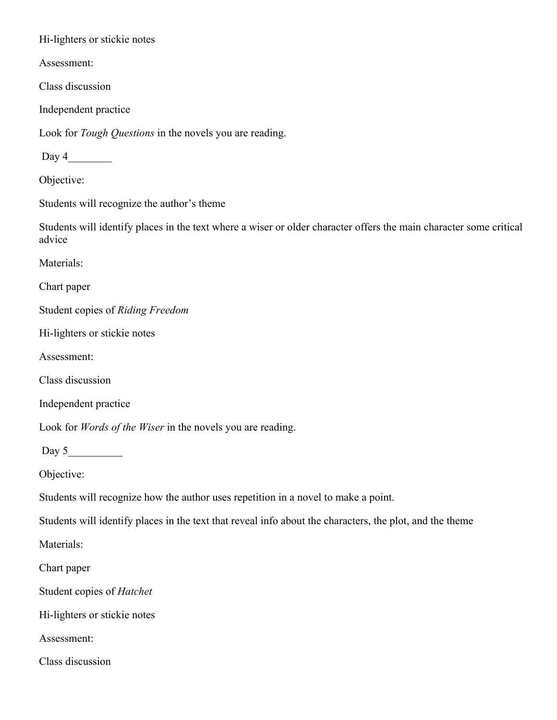Hi-lighters or stickie notes

Assessment:

Class discussion

Independent practice

Look for *Tough Questions* in the novels you are reading.

Day 4

Objective:

Students will recognize the author's theme

Students will identify places in the text where a wiser or older character offers the main character some critical advice

Materials:

Chart paper

Student copies of *Riding Freedom*

Hi-lighters or stickie notes

Assessment:

Class discussion

Independent practice

Look for *Words of the Wiser* in the novels you are reading.

Day  $5$ 

Objective:

Students will recognize how the author uses repetition in a novel to make a point.

Students will identify places in the text that reveal info about the characters, the plot, and the theme

Materials:

Chart paper

Student copies of *Hatchet*

Hi-lighters or stickie notes

Assessment:

Class discussion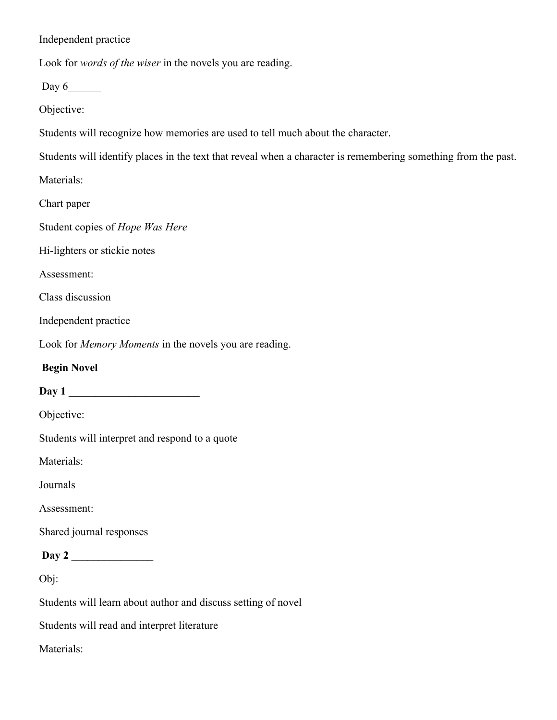Independent practice

Look for *words of the wiser* in the novels you are reading.

Day  $6$ 

Objective:

Students will recognize how memories are used to tell much about the character.

Students will identify places in the text that reveal when a character is remembering something from the past.

Materials:

Chart paper

Student copies of *Hope Was Here*

Hi-lighters or stickie notes

Assessment:

Class discussion

Independent practice

Look for *Memory Moments* in the novels you are reading.

#### **Begin Novel**

**Day 1 \_\_\_\_\_\_\_\_\_\_\_\_\_\_\_\_\_\_\_\_\_\_\_\_**

Objective:

Students will interpret and respond to a quote

Materials:

Journals

Assessment:

Shared journal responses

**Day 2 \_\_\_\_\_\_\_\_\_\_\_\_\_\_\_**

Obj:

Students will learn about author and discuss setting of novel

Students will read and interpret literature

Materials: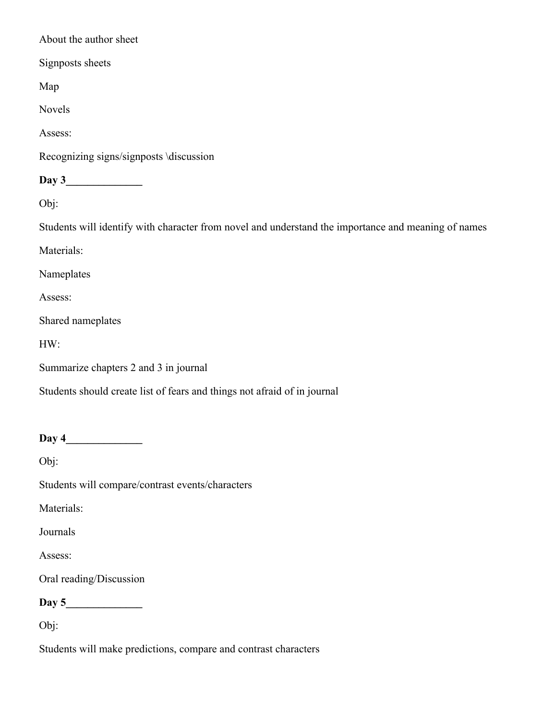About the author sheet

Signposts sheets

Map

Novels

Assess:

Recognizing signs/signposts \discussion

**Day 3\_\_\_\_\_\_\_\_\_\_\_\_\_\_**

Obj:

Students will identify with character from novel and understand the importance and meaning of names

Materials:

Nameplates

Assess:

Shared nameplates

HW:

Summarize chapters 2 and 3 in journal

Students should create list of fears and things not afraid of in journal

**Day 4\_\_\_\_\_\_\_\_\_\_\_\_\_\_**

Obj:

Students will compare/contrast events/characters

Materials:

Journals

Assess:

Oral reading/Discussion

**Day 5\_\_\_\_\_\_\_\_\_\_\_\_\_\_**

Obj:

Students will make predictions, compare and contrast characters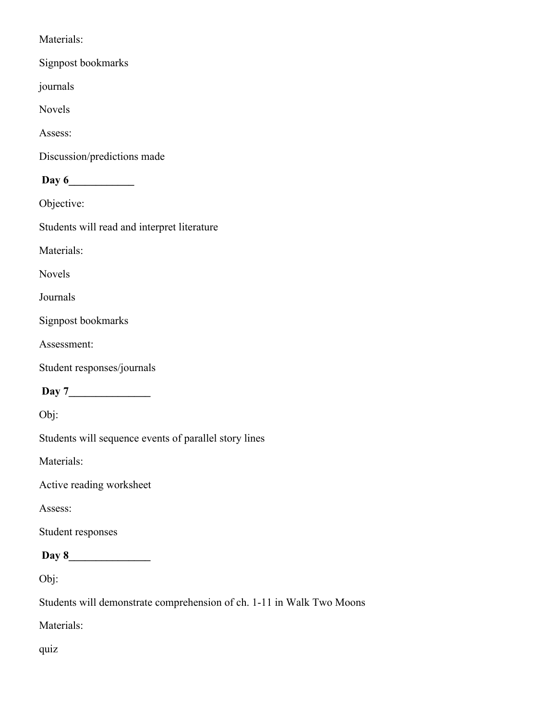Materials:

Signpost bookmarks

journals

Novels

Assess:

Discussion/predictions made

**Day 6\_\_\_\_\_\_\_\_\_\_\_\_**

Objective:

Students will read and interpret literature

Materials:

Novels

Journals

Signpost bookmarks

Assessment:

Student responses/journals

 **Day 7\_\_\_\_\_\_\_\_\_\_\_\_\_\_\_**

Obj:

Students will sequence events of parallel story lines

Materials:

Active reading worksheet

Assess:

Student responses

**Day 8\_\_\_\_\_\_\_\_\_\_\_\_\_\_\_**

Obj:

Students will demonstrate comprehension of ch. 1-11 in Walk Two Moons

Materials:

quiz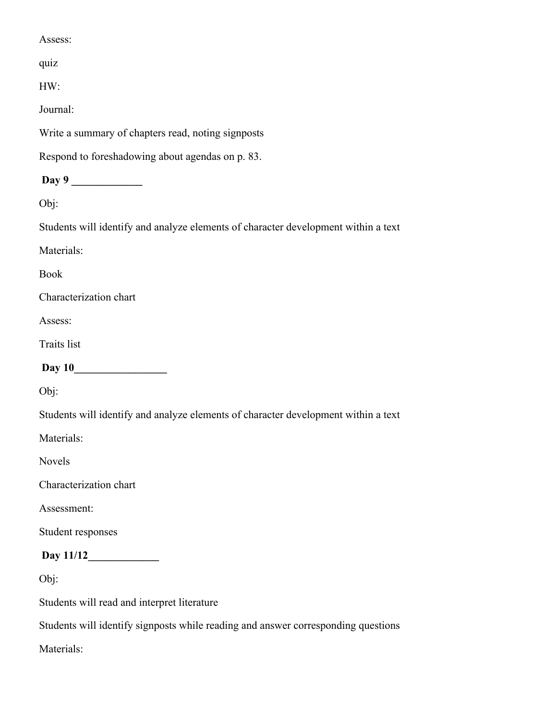Assess:

quiz

HW:

Journal:

Write a summary of chapters read, noting signposts

Respond to foreshadowing about agendas on p. 83.

**Day 9** 

Obj:

Students will identify and analyze elements of character development within a text

Materials:

Book

Characterization chart

Assess:

Traits list

**Day 10\_\_\_\_\_\_\_\_\_\_\_\_\_\_\_\_\_**

Obj:

Students will identify and analyze elements of character development within a text

Materials:

Novels

Characterization chart

Assessment:

Student responses

**Day 11/12\_\_\_\_\_\_\_\_\_\_\_\_\_**

Obj:

Students will read and interpret literature

Students will identify signposts while reading and answer corresponding questions

Materials: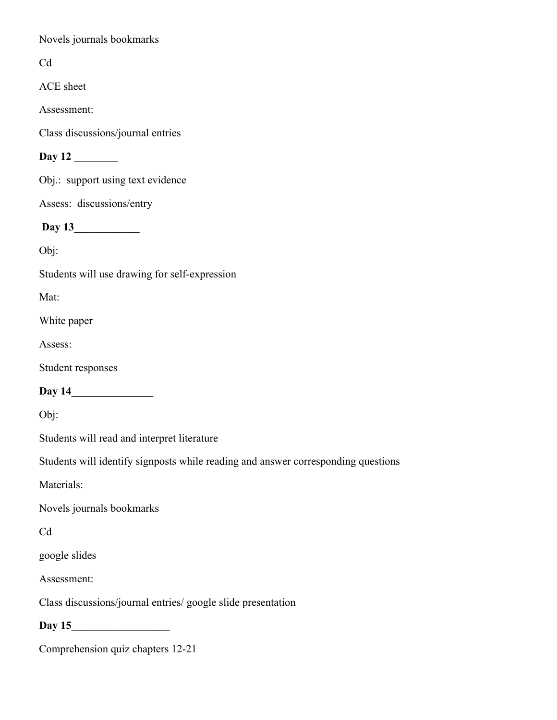Novels journals bookmarks

Cd

ACE sheet

Assessment:

Class discussions/journal entries

**Day 12 \_\_\_\_\_\_\_\_**

Obj.: support using text evidence

Assess: discussions/entry

**Day 13\_\_\_\_\_\_\_\_\_\_\_\_**

Obj:

Students will use drawing for self-expression

Mat:

White paper

Assess:

Student responses

Day 14

Obj:

Students will read and interpret literature

Students will identify signposts while reading and answer corresponding questions

Materials:

Novels journals bookmarks

Cd

google slides

Assessment:

Class discussions/journal entries/ google slide presentation

Day 15

Comprehension quiz chapters 12-21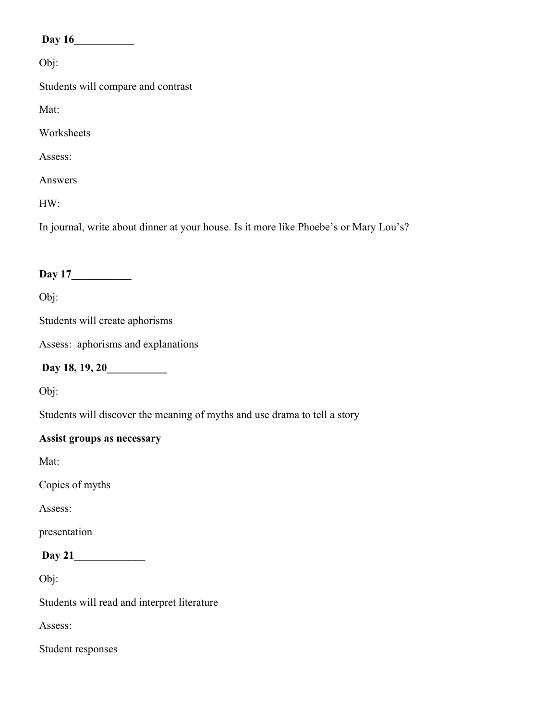**Day 16\_\_\_\_\_\_\_\_\_\_\_**

Obj:

Students will compare and contrast

Mat:

Worksheets

Assess:

Answers

HW:

In journal, write about dinner at your house. Is it more like Phoebe's or Mary Lou's?

# **Day 17\_\_\_\_\_\_\_\_\_\_\_**

Obj:

Students will create aphorisms

Assess: aphorisms and explanations

**Day 18, 19, 20\_\_\_\_\_\_\_\_\_\_\_**

Obj:

Students will discover the meaning of myths and use drama to tell a story

# **Assist groups as necessary**

Mat:

Copies of myths

Assess:

presentation

**Day 21\_\_\_\_\_\_\_\_\_\_\_\_\_**

Obj:

Students will read and interpret literature

Assess:

Student responses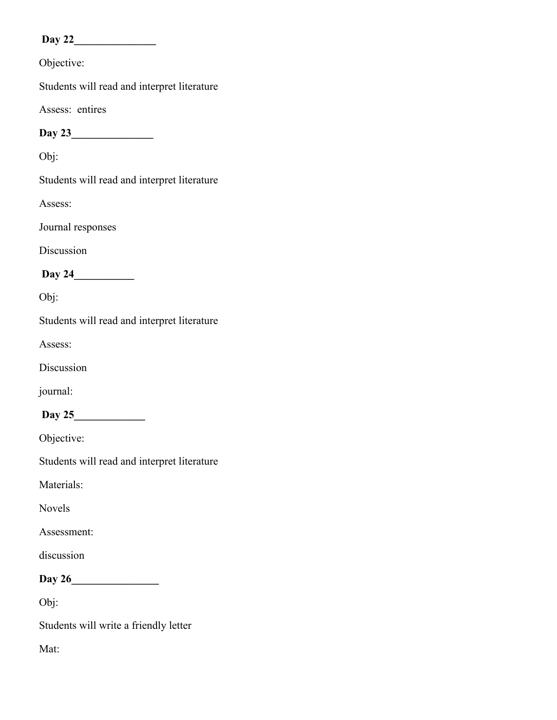# **Day 22\_\_\_\_\_\_\_\_\_\_\_\_\_\_\_**

Objective:

Students will read and interpret literature

Assess: entires

**Day 23\_\_\_\_\_\_\_\_\_\_\_\_\_\_\_**

Obj:

Students will read and interpret literature

Assess:

Journal responses

Discussion

**Day 24\_\_\_\_\_\_\_\_\_\_\_**

Obj:

Students will read and interpret literature

Assess:

Discussion

journal:

# **Day 25\_\_\_\_\_\_\_\_\_\_\_\_\_**

Objective:

Students will read and interpret literature

Materials:

Novels

Assessment:

discussion

**Day 26\_\_\_\_\_\_\_\_\_\_\_\_\_\_\_\_**

Obj:

Students will write a friendly letter

Mat: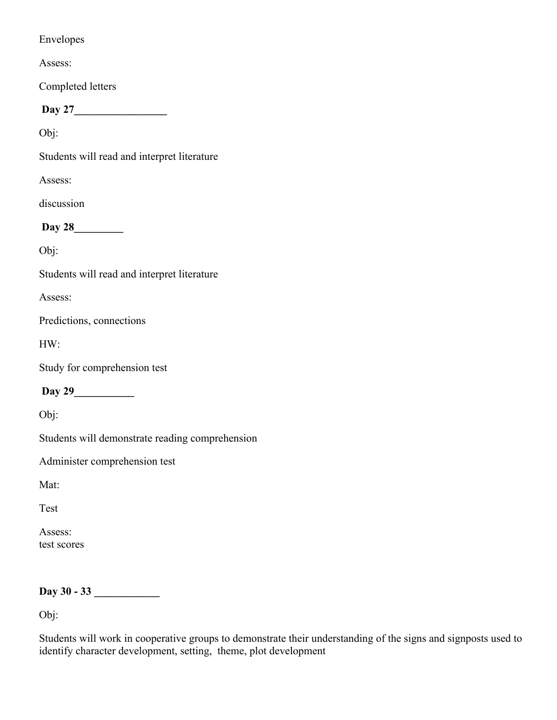### Envelopes

Assess:

Completed letters

**Day 27\_\_\_\_\_\_\_\_\_\_\_\_\_\_\_\_\_**

Obj:

Students will read and interpret literature

Assess:

discussion

**Day 28\_\_\_\_\_\_\_\_\_**

Obj:

Students will read and interpret literature

Assess:

Predictions, connections

HW:

Study for comprehension test

**Day 29\_\_\_\_\_\_\_\_\_\_\_**

Obj:

Students will demonstrate reading comprehension

Administer comprehension test

Mat:

Test

Assess: test scores

# Day 30 - 33

Obj:

Students will work in cooperative groups to demonstrate their understanding of the signs and signposts used to identify character development, setting, theme, plot development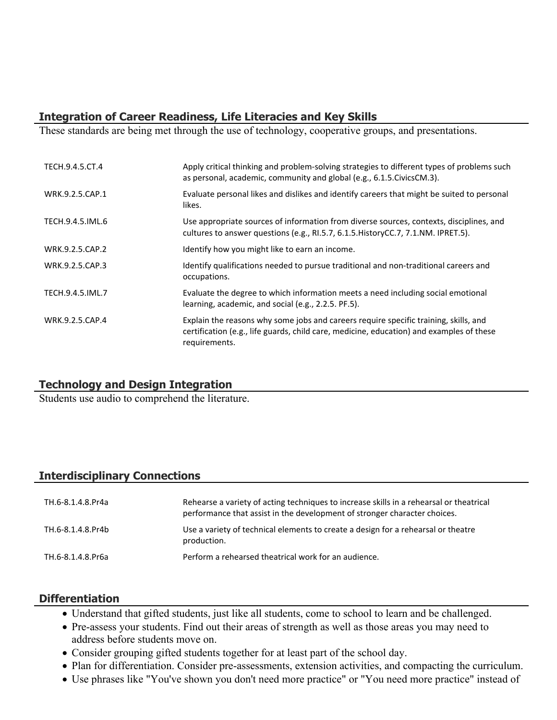# **Integration of Career Readiness, Life Literacies and Key Skills**

These standards are being met through the use of technology, cooperative groups, and presentations.

| TECH.9.4.5.CT.4  | Apply critical thinking and problem-solving strategies to different types of problems such<br>as personal, academic, community and global (e.g., 6.1.5. Civics CM.3).                             |
|------------------|---------------------------------------------------------------------------------------------------------------------------------------------------------------------------------------------------|
| WRK.9.2.5.CAP.1  | Evaluate personal likes and dislikes and identify careers that might be suited to personal<br>likes.                                                                                              |
| TECH.9.4.5.IML.6 | Use appropriate sources of information from diverse sources, contexts, disciplines, and<br>cultures to answer questions (e.g., RI.5.7, 6.1.5. History CC.7, 7.1. NM. IPRET.5).                    |
| WRK.9.2.5.CAP.2  | Identify how you might like to earn an income.                                                                                                                                                    |
| WRK.9.2.5.CAP.3  | Identify qualifications needed to pursue traditional and non-traditional careers and<br>occupations.                                                                                              |
| TECH.9.4.5.IML.7 | Evaluate the degree to which information meets a need including social emotional<br>learning, academic, and social (e.g., 2.2.5. PF.5).                                                           |
| WRK.9.2.5.CAP.4  | Explain the reasons why some jobs and careers require specific training, skills, and<br>certification (e.g., life guards, child care, medicine, education) and examples of these<br>requirements. |

# **Technology and Design Integration**

Students use audio to comprehend the literature.

# **Interdisciplinary Connections**

| TH.6-8.1.4.8.Pr4a | Rehearse a variety of acting techniques to increase skills in a rehearsal or theatrical<br>performance that assist in the development of stronger character choices. |
|-------------------|----------------------------------------------------------------------------------------------------------------------------------------------------------------------|
| TH.6-8.1.4.8.Pr4b | Use a variety of technical elements to create a design for a rehearsal or theatre<br>production.                                                                     |
| TH.6-8.1.4.8.Pr6a | Perform a rehearsed theatrical work for an audience.                                                                                                                 |

#### **Differentiation**

- Understand that gifted students, just like all students, come to school to learn and be challenged.
- Pre-assess your students. Find out their areas of strength as well as those areas you may need to address before students move on.
- Consider grouping gifted students together for at least part of the school day.
- Plan for differentiation. Consider pre-assessments, extension activities, and compacting the curriculum.
- Use phrases like "You've shown you don't need more practice" or "You need more practice" instead of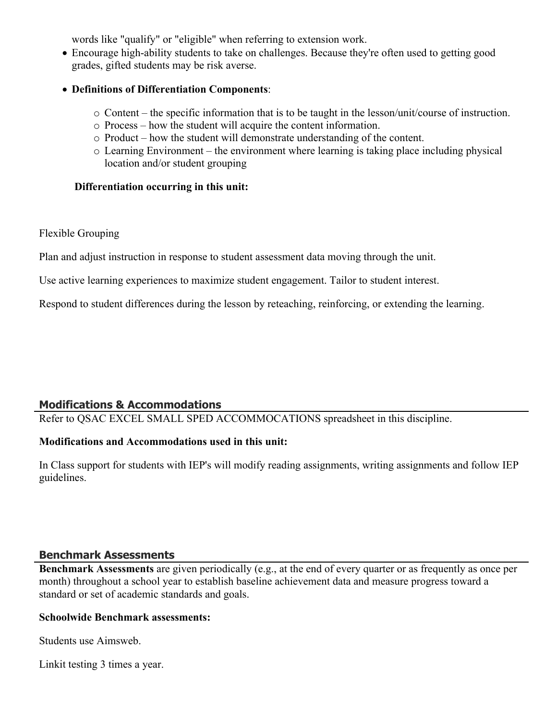words like "qualify" or "eligible" when referring to extension work.

- Encourage high-ability students to take on challenges. Because they're often used to getting good grades, gifted students may be risk averse.
- **Definitions of Differentiation Components**:
	- o Content the specific information that is to be taught in the lesson/unit/course of instruction.
	- o Process how the student will acquire the content information.
	- o Product how the student will demonstrate understanding of the content.
	- o Learning Environment the environment where learning is taking place including physical location and/or student grouping

#### **Differentiation occurring in this unit:**

Flexible Grouping

Plan and adjust instruction in response to student assessment data moving through the unit.

Use active learning experiences to maximize student engagement. Tailor to student interest.

Respond to student differences during the lesson by reteaching, reinforcing, or extending the learning.

# **Modifications & Accommodations**

Refer to QSAC EXCEL SMALL SPED ACCOMMOCATIONS spreadsheet in this discipline.

#### **Modifications and Accommodations used in this unit:**

In Class support for students with IEP's will modify reading assignments, writing assignments and follow IEP guidelines.

#### **Benchmark Assessments**

**Benchmark Assessments** are given periodically (e.g., at the end of every quarter or as frequently as once per month) throughout a school year to establish baseline achievement data and measure progress toward a standard or set of academic standards and goals.

#### **Schoolwide Benchmark assessments:**

Students use Aimsweb.

Linkit testing 3 times a year.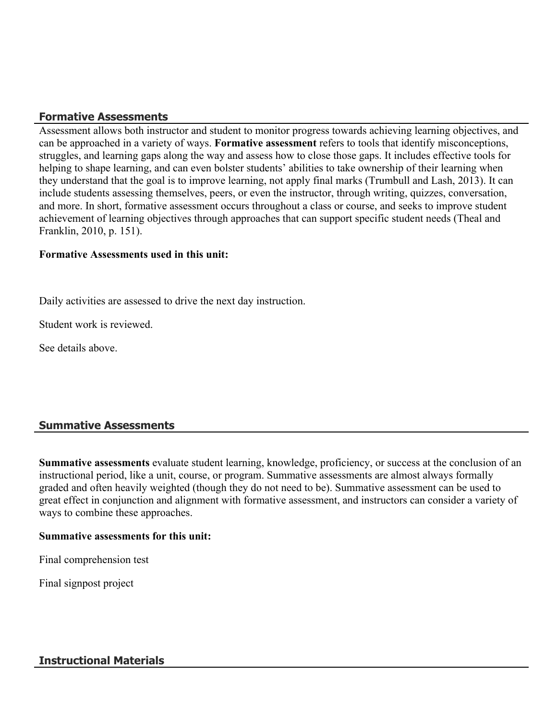# **Formative Assessments**

Assessment allows both instructor and student to monitor progress towards achieving learning objectives, and can be approached in a variety of ways. **Formative assessment** refers to tools that identify misconceptions, struggles, and learning gaps along the way and assess how to close those gaps. It includes effective tools for helping to shape learning, and can even bolster students' abilities to take ownership of their learning when they understand that the goal is to improve learning, not apply final marks (Trumbull and Lash, 2013). It can include students assessing themselves, peers, or even the instructor, through writing, quizzes, conversation, and more. In short, formative assessment occurs throughout a class or course, and seeks to improve student achievement of learning objectives through approaches that can support specific student needs (Theal and Franklin, 2010, p. 151).

#### **Formative Assessments used in this unit:**

Daily activities are assessed to drive the next day instruction.

Student work is reviewed.

See details above.

# **Summative Assessments**

**Summative assessments** evaluate student learning, knowledge, proficiency, or success at the conclusion of an instructional period, like a unit, course, or program. Summative assessments are almost always formally graded and often heavily weighted (though they do not need to be). Summative assessment can be used to great effect in conjunction and alignment with formative assessment, and instructors can consider a variety of ways to combine these approaches.

#### **Summative assessments for this unit:**

Final comprehension test

Final signpost project